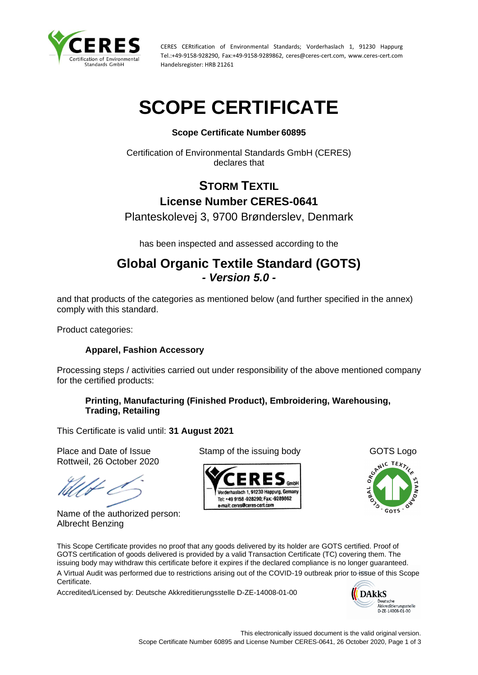

CERES CERtification of Environmental Standards; Vorderhaslach 1, 91230 Happurg Tel.:+49-9158-928290, Fax:+49-9158-9289862, ceres@ceres-cert.com, www.ceres-cert.com Handelsregister: HRB 21261

# **SCOPE CERTIFICATE**

## **Scope Certificate Number 60895**

Certification of Environmental Standards GmbH (CERES) declares that

# **STORM TEXTIL License Number CERES-0641**

Planteskolevej 3, 9700 Brønderslev, Denmark

has been inspected and assessed according to the

## **Global Organic Textile Standard (GOTS)** *- Version 5.0 -*

and that products of the categories as mentioned below (and further specified in the annex) comply with this standard.

Product categories:

### **Apparel, Fashion Accessory**

Processing steps / activities carried out under responsibility of the above mentioned company for the certified products:

### **Printing, Manufacturing (Finished Product), Embroidering, Warehousing, Trading, Retailing**

This Certificate is valid until: **31 August 2021**

Place and Date of Issue Stamp of the issuing body GOTS Logo Rottweil, 26 October 2020

Name of the authorized person: Albrecht Benzing





This Scope Certificate provides no proof that any goods delivered by its holder are GOTS certified. Proof of GOTS certification of goods delivered is provided by a valid Transaction Certificate (TC) covering them. The issuing body may withdraw this certificate before it expires if the declared compliance is no longer guaranteed. A Virtual Audit was performed due to restrictions arising out of the COVID-19 outbreak prior to issue of this Scope Certificate.

Accredited/Licensed by: Deutsche Akkreditierungsstelle D-ZE-14008-01-00

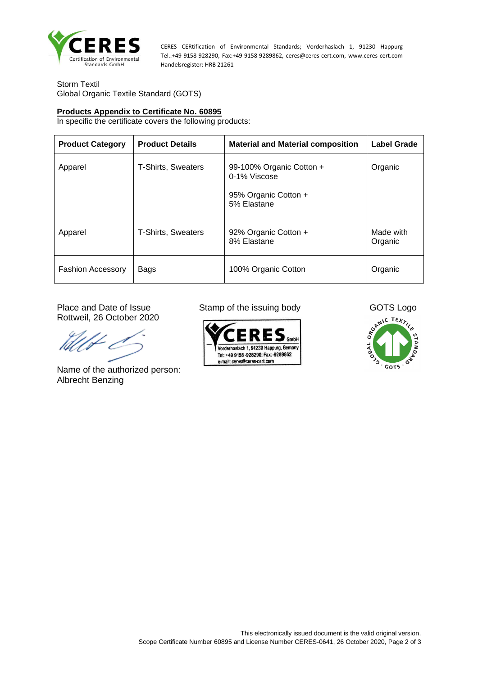

CERES CERtification of Environmental Standards; Vorderhaslach 1, 91230 Happurg Tel.:+49-9158-928290, Fax:+49-9158-9289862, ceres@ceres-cert.com, www.ceres-cert.com Handelsregister: HRB 21261

Storm Textil Global Organic Textile Standard (GOTS)

#### **Products Appendix to Certificate No. 60895**

In specific the certificate covers the following products:

| <b>Product Category</b>  | <b>Product Details</b>    | <b>Material and Material composition</b>                                        | <b>Label Grade</b>   |
|--------------------------|---------------------------|---------------------------------------------------------------------------------|----------------------|
| Apparel                  | T-Shirts, Sweaters        | 99-100% Organic Cotton +<br>0-1% Viscose<br>95% Organic Cotton +<br>5% Elastane | Organic              |
| Apparel                  | <b>T-Shirts, Sweaters</b> | 92% Organic Cotton +<br>8% Elastane                                             | Made with<br>Organic |
| <b>Fashion Accessory</b> | Bags                      | 100% Organic Cotton                                                             | Organic              |

Rottweil, 26 October 2020

Name of the authorized person: Albrecht Benzing